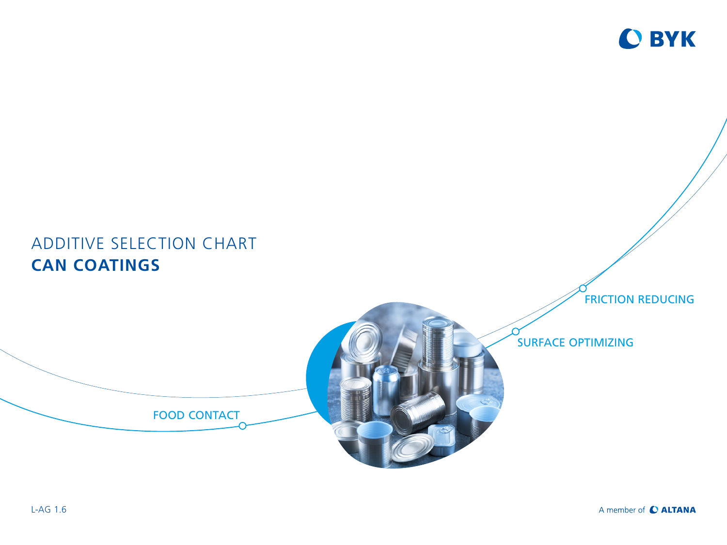

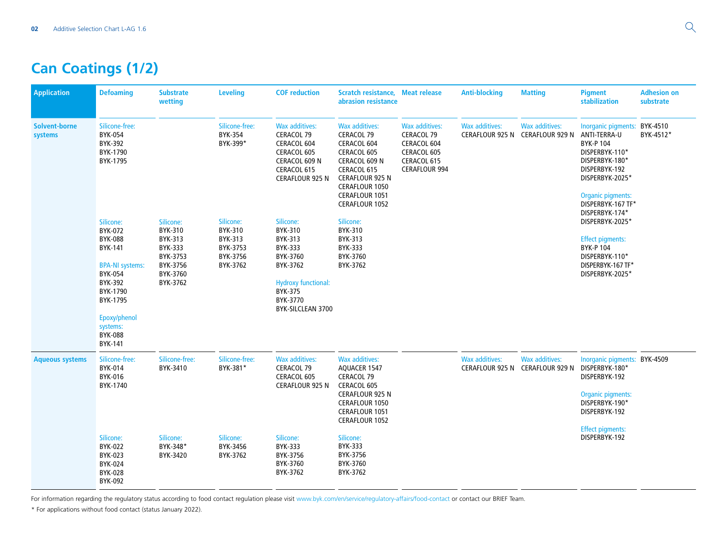## **Can Coatings (1/2)**

| <b>Application</b>              | <b>Defoaming</b>                                                                                                                                                            | <b>Substrate</b><br>wetting                                                                | <b>Leveling</b>                                                     | <b>COF reduction</b>                                                                                                                         | Scratch resistance, Meat release<br>abrasion resistance                                                                                                                           |                                                                                                          | <b>Anti-blocking</b>  | <b>Matting</b>                                           | <b>Pigment</b><br>stabilization                                                                                                                                                                            | <b>Adhesion on</b><br>substrate |
|---------------------------------|-----------------------------------------------------------------------------------------------------------------------------------------------------------------------------|--------------------------------------------------------------------------------------------|---------------------------------------------------------------------|----------------------------------------------------------------------------------------------------------------------------------------------|-----------------------------------------------------------------------------------------------------------------------------------------------------------------------------------|----------------------------------------------------------------------------------------------------------|-----------------------|----------------------------------------------------------|------------------------------------------------------------------------------------------------------------------------------------------------------------------------------------------------------------|---------------------------------|
| <b>Solvent-borne</b><br>systems | Silicone-free:<br>BYK-054<br>BYK-392<br>BYK-1790<br>BYK-1795                                                                                                                |                                                                                            | Silicone-free:<br>BYK-354<br>BYK-399*                               | <b>Wax additives:</b><br>CERACOL 79<br>CERACOL 604<br>CERACOL 605<br>CERACOL 609 N<br>CERACOL 615<br><b>CERAFLOUR 925 N</b>                  | Wax additives:<br>CERACOL 79<br>CERACOL 604<br>CERACOL 605<br>CERACOL 609 N<br>CERACOL 615<br><b>CERAFLOUR 925 N</b><br><b>CERAFLOUR 1050</b><br>CERAFLOUR 1051<br>CERAFLOUR 1052 | <b>Wax additives:</b><br>CERACOL 79<br>CERACOL 604<br>CERACOL 605<br>CERACOL 615<br><b>CERAFLOUR 994</b> | <b>Wax additives:</b> | <b>Wax additives:</b><br>CERAFLOUR 925 N CERAFLOUR 929 N | Inorganic pigments: BYK-4510<br>ANTI-TERRA-U<br><b>BYK-P104</b><br>DISPERBYK-110*<br>DISPERBYK-180*<br>DISPERBYK-192<br>DISPERBYK-2025*<br><b>Organic pigments:</b><br>DISPERBYK-167 TF*<br>DISPERBYK-174* | BYK-4512*                       |
|                                 | Silicone:<br>BYK-072<br><b>BYK-088</b><br>BYK-141<br><b>BPA-NI systems:</b><br>BYK-054<br>BYK-392<br>BYK-1790<br>BYK-1795<br>Epoxy/phenol<br>systems:<br>BYK-088<br>BYK-141 | Silicone:<br>BYK-310<br>BYK-313<br>BYK-333<br>BYK-3753<br>BYK-3756<br>BYK-3760<br>BYK-3762 | Silicone:<br>BYK-310<br>BYK-313<br>BYK-3753<br>BYK-3756<br>BYK-3762 | Silicone:<br>BYK-310<br>BYK-313<br>BYK-333<br>BYK-3760<br>BYK-3762<br><b>Hydroxy functional:</b><br>BYK-375<br>BYK-3770<br>BYK-SILCLEAN 3700 | Silicone:<br>BYK-310<br>BYK-313<br>BYK-333<br>BYK-3760<br>BYK-3762                                                                                                                |                                                                                                          |                       |                                                          | DISPERBYK-2025*<br><b>Effect pigments:</b><br><b>BYK-P104</b><br>DISPERBYK-110*<br>DISPERBYK-167 TF*<br>DISPERBYK-2025*                                                                                    |                                 |
| <b>Aqueous systems</b>          | Silicone-free:<br>BYK-014<br>BYK-016<br>BYK-1740                                                                                                                            | Silicone-free:<br>BYK-3410                                                                 | Silicone-free:<br>BYK-381*                                          | Wax additives:<br>CERACOL 79<br>CERACOL 605<br><b>CERAFLOUR 925 N</b>                                                                        | Wax additives:<br>AQUACER 1547<br>CERACOL 79<br>CERACOL 605<br>CERAFLOUR 925 N<br><b>CERAFLOUR 1050</b><br><b>CERAFLOUR 1051</b><br>CERAFLOUR 1052                                |                                                                                                          | Wax additives:        | <b>Wax additives:</b><br>CERAFLOUR 925 N CERAFLOUR 929 N | Inorganic pigments: BYK-4509<br>DISPERBYK-180*<br>DISPERBYK-192<br>Organic pigments:<br>DISPERBYK-190*<br>DISPERBYK-192<br><b>Effect pigments:</b>                                                         |                                 |
|                                 | Silicone:<br>BYK-022<br>BYK-023<br>BYK-024<br><b>BYK-028</b><br>BYK-092                                                                                                     | Silicone:<br>BYK-348*<br>BYK-3420                                                          | Silicone:<br>BYK-3456<br>BYK-3762                                   | Silicone:<br><b>BYK-333</b><br>BYK-3756<br>BYK-3760<br>BYK-3762                                                                              | Silicone:<br>BYK-333<br>BYK-3756<br>BYK-3760<br>BYK-3762                                                                                                                          |                                                                                                          |                       |                                                          | DISPERBYK-192                                                                                                                                                                                              |                                 |

For information regarding the regulatory status according to food contact regulation please visit [www.byk.com/en/service/regulatory-affairs/food-contact](http://www.byk.com/en/service/regulatory-affairs/food-contact) or contact our BRIEF Team.

\* For applications without food contact (status January 2022).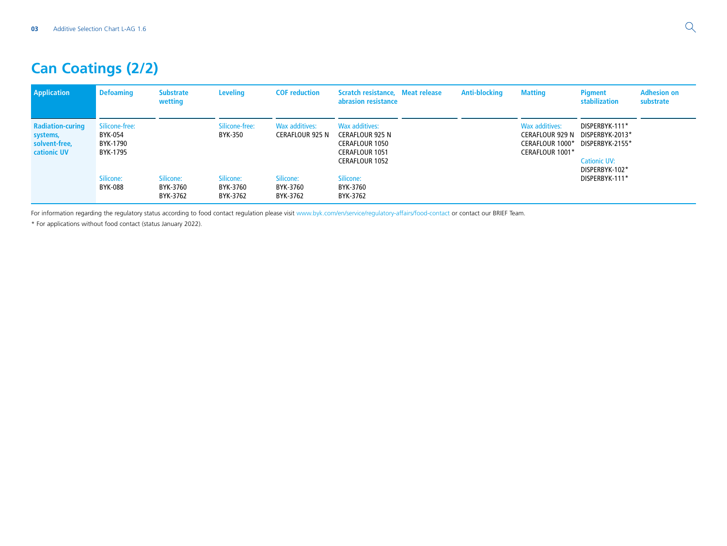## **Can Coatings (2/2)**

| <b>Application</b>                                                         | <b>Defoaming</b>                                  | <b>Substrate</b><br>wetting       | <b>Leveling</b>                   | <b>COF reduction</b>                     | Scratch resistance, Meat release<br>abrasion resistance                                                      | <b>Anti-blocking</b> | <b>Matting</b>                                                                 | <b>Pigment</b><br>stabilization                                                                                 | <b>Adhesion on</b><br>substrate |
|----------------------------------------------------------------------------|---------------------------------------------------|-----------------------------------|-----------------------------------|------------------------------------------|--------------------------------------------------------------------------------------------------------------|----------------------|--------------------------------------------------------------------------------|-----------------------------------------------------------------------------------------------------------------|---------------------------------|
| <b>Radiation-curing</b><br>systems,<br>solvent-free,<br><b>cationic UV</b> | Silicone-free:<br>BYK-054<br>BYK-1790<br>BYK-1795 |                                   | Silicone-free:<br>BYK-350         | Wax additives:<br><b>CERAFLOUR 925 N</b> | Wax additives:<br><b>CERAFLOUR 925 N</b><br><b>CERAFLOUR 1050</b><br>CERAFLOUR 1051<br><b>CERAFLOUR 1052</b> |                      | Wax additives:<br><b>CERAFLOUR 929 N</b><br>CERAFLOUR 1000*<br>CERAFLOUR 1001* | DISPERBYK-111*<br>DISPERBYK-2013*<br>DISPERBYK-2155*<br><b>Cationic UV:</b><br>DISPERBYK-102*<br>DISPERBYK-111* |                                 |
|                                                                            | Silicone:<br>BYK-088                              | Silicone:<br>BYK-3760<br>BYK-3762 | Silicone:<br>BYK-3760<br>BYK-3762 | Silicone:<br>BYK-3760<br>BYK-3762        | Silicone:<br>BYK-3760<br>BYK-3762                                                                            |                      |                                                                                |                                                                                                                 |                                 |

For information regarding the regulatory status according to food contact regulation please visit [www.byk.com/en/service/regulatory-affairs/food-contact](http://www.byk.com/en/service/regulatory-affairs/food-contact) or contact our BRIEF Team.

\* For applications without food contact (status January 2022).